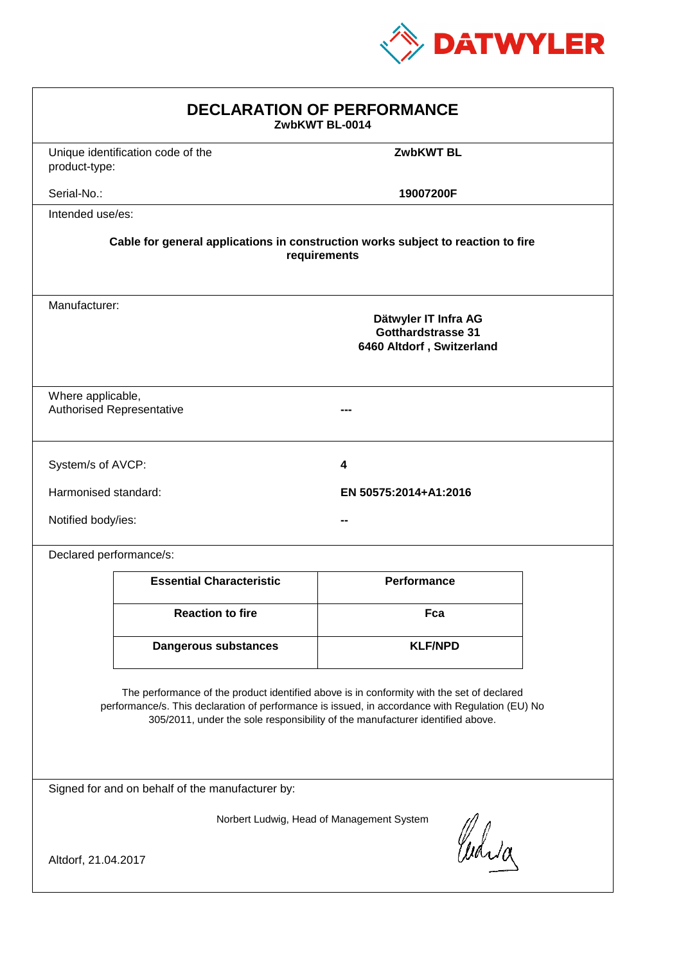

| <b>DECLARATION OF PERFORMANCE</b><br>ZwbKWT BL-0014                                                                                                                                                                                                                           |                                                                                                  |                       |  |  |  |
|-------------------------------------------------------------------------------------------------------------------------------------------------------------------------------------------------------------------------------------------------------------------------------|--------------------------------------------------------------------------------------------------|-----------------------|--|--|--|
| product-type:                                                                                                                                                                                                                                                                 | Unique identification code of the                                                                | <b>ZwbKWT BL</b>      |  |  |  |
| Serial-No.:                                                                                                                                                                                                                                                                   |                                                                                                  | 19007200F             |  |  |  |
| Intended use/es:                                                                                                                                                                                                                                                              |                                                                                                  |                       |  |  |  |
|                                                                                                                                                                                                                                                                               | Cable for general applications in construction works subject to reaction to fire<br>requirements |                       |  |  |  |
|                                                                                                                                                                                                                                                                               | Manufacturer:<br>Dätwyler IT Infra AG<br>Gotthardstrasse 31<br>6460 Altdorf, Switzerland         |                       |  |  |  |
| Where applicable,                                                                                                                                                                                                                                                             | <b>Authorised Representative</b>                                                                 |                       |  |  |  |
| System/s of AVCP:                                                                                                                                                                                                                                                             |                                                                                                  | 4                     |  |  |  |
| Harmonised standard:                                                                                                                                                                                                                                                          |                                                                                                  | EN 50575:2014+A1:2016 |  |  |  |
| Notified body/ies:                                                                                                                                                                                                                                                            |                                                                                                  |                       |  |  |  |
|                                                                                                                                                                                                                                                                               | Declared performance/s:                                                                          |                       |  |  |  |
|                                                                                                                                                                                                                                                                               | <b>Essential Characteristic</b>                                                                  | <b>Performance</b>    |  |  |  |
|                                                                                                                                                                                                                                                                               | <b>Reaction to fire</b>                                                                          | Fca                   |  |  |  |
|                                                                                                                                                                                                                                                                               | <b>Dangerous substances</b>                                                                      | <b>KLF/NPD</b>        |  |  |  |
| The performance of the product identified above is in conformity with the set of declared<br>performance/s. This declaration of performance is issued, in accordance with Regulation (EU) No<br>305/2011, under the sole responsibility of the manufacturer identified above. |                                                                                                  |                       |  |  |  |
| Signed for and on behalf of the manufacturer by:                                                                                                                                                                                                                              |                                                                                                  |                       |  |  |  |
| Norbert Ludwig, Head of Management System                                                                                                                                                                                                                                     |                                                                                                  |                       |  |  |  |
| Curia<br>Altdorf, 21.04.2017                                                                                                                                                                                                                                                  |                                                                                                  |                       |  |  |  |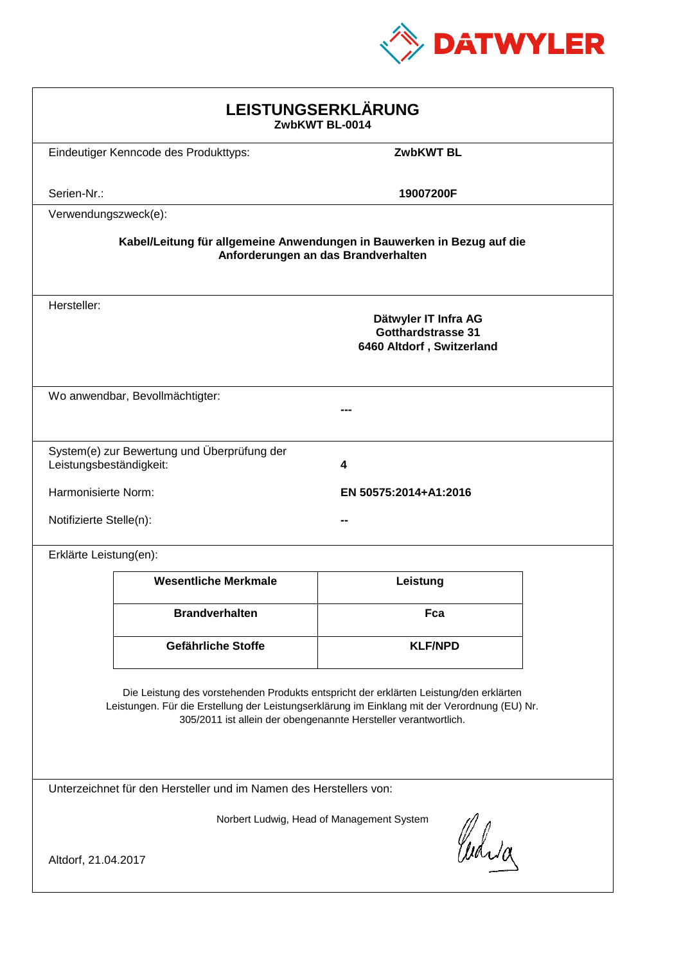

| LEISTUNGSERKLÄRUNG<br>ZwbKWT BL-0014                                                                                                                                                                                                                       |                                             |                                                                                |  |  |
|------------------------------------------------------------------------------------------------------------------------------------------------------------------------------------------------------------------------------------------------------------|---------------------------------------------|--------------------------------------------------------------------------------|--|--|
|                                                                                                                                                                                                                                                            | Eindeutiger Kenncode des Produkttyps:       | <b>ZwbKWT BL</b>                                                               |  |  |
| Serien-Nr.:                                                                                                                                                                                                                                                |                                             | 19007200F                                                                      |  |  |
| Verwendungszweck(e):                                                                                                                                                                                                                                       |                                             |                                                                                |  |  |
| Kabel/Leitung für allgemeine Anwendungen in Bauwerken in Bezug auf die<br>Anforderungen an das Brandverhalten                                                                                                                                              |                                             |                                                                                |  |  |
| Hersteller:                                                                                                                                                                                                                                                |                                             | Dätwyler IT Infra AG<br><b>Gotthardstrasse 31</b><br>6460 Altdorf, Switzerland |  |  |
|                                                                                                                                                                                                                                                            | Wo anwendbar, Bevollmächtigter:             |                                                                                |  |  |
| Leistungsbeständigkeit:                                                                                                                                                                                                                                    | System(e) zur Bewertung und Überprüfung der | 4                                                                              |  |  |
| Harmonisierte Norm:                                                                                                                                                                                                                                        |                                             | EN 50575:2014+A1:2016                                                          |  |  |
| Notifizierte Stelle(n):                                                                                                                                                                                                                                    |                                             |                                                                                |  |  |
| Erklärte Leistung(en):                                                                                                                                                                                                                                     |                                             |                                                                                |  |  |
|                                                                                                                                                                                                                                                            | <b>Wesentliche Merkmale</b>                 | Leistung                                                                       |  |  |
|                                                                                                                                                                                                                                                            | <b>Brandverhalten</b>                       | Fca                                                                            |  |  |
|                                                                                                                                                                                                                                                            | Gefährliche Stoffe                          | <b>KLF/NPD</b>                                                                 |  |  |
| Die Leistung des vorstehenden Produkts entspricht der erklärten Leistung/den erklärten<br>Leistungen. Für die Erstellung der Leistungserklärung im Einklang mit der Verordnung (EU) Nr.<br>305/2011 ist allein der obengenannte Hersteller verantwortlich. |                                             |                                                                                |  |  |
| Unterzeichnet für den Hersteller und im Namen des Herstellers von:                                                                                                                                                                                         |                                             |                                                                                |  |  |
| Norbert Ludwig, Head of Management System<br>Curia<br>Altdorf, 21.04.2017                                                                                                                                                                                  |                                             |                                                                                |  |  |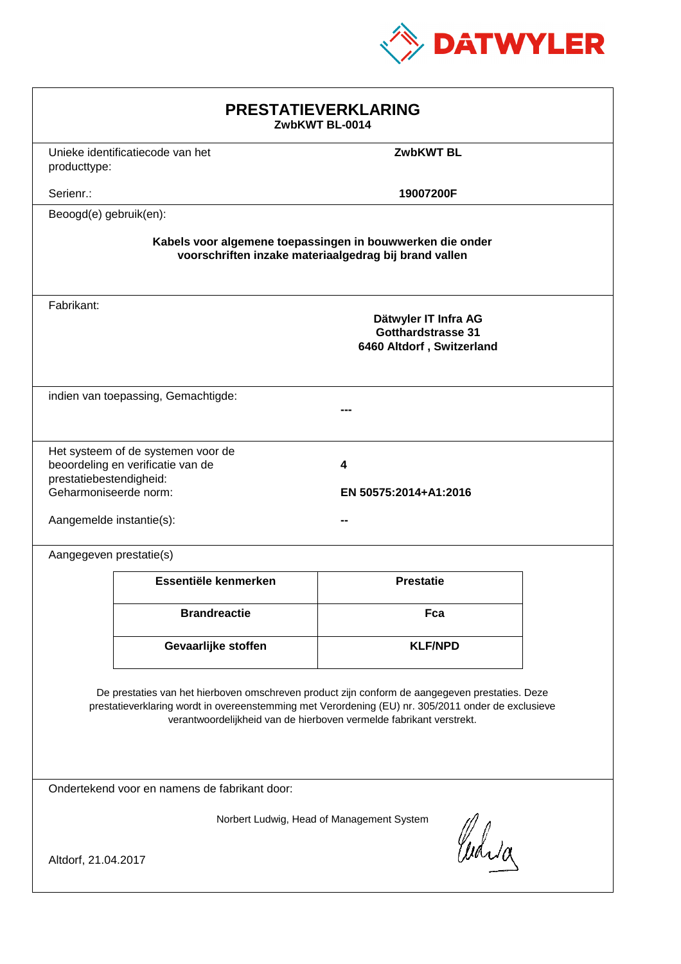

| <b>PRESTATIEVERKLARING</b><br>ZwbKWT BL-0014                                                                                                                                                                                                                                |                                                                         |                                                                                |  |  |
|-----------------------------------------------------------------------------------------------------------------------------------------------------------------------------------------------------------------------------------------------------------------------------|-------------------------------------------------------------------------|--------------------------------------------------------------------------------|--|--|
| producttype:                                                                                                                                                                                                                                                                | Unieke identificatiecode van het                                        | <b>ZwbKWT BL</b>                                                               |  |  |
| Serienr.:                                                                                                                                                                                                                                                                   |                                                                         | 19007200F                                                                      |  |  |
| Beoogd(e) gebruik(en):                                                                                                                                                                                                                                                      |                                                                         |                                                                                |  |  |
| Kabels voor algemene toepassingen in bouwwerken die onder<br>voorschriften inzake materiaalgedrag bij brand vallen                                                                                                                                                          |                                                                         |                                                                                |  |  |
| Fabrikant:                                                                                                                                                                                                                                                                  |                                                                         | Dätwyler IT Infra AG<br><b>Gotthardstrasse 31</b><br>6460 Altdorf, Switzerland |  |  |
|                                                                                                                                                                                                                                                                             | indien van toepassing, Gemachtigde:                                     |                                                                                |  |  |
| prestatiebestendigheid:<br>Geharmoniseerde norm:<br>Aangemelde instantie(s):                                                                                                                                                                                                | Het systeem of de systemen voor de<br>beoordeling en verificatie van de | 4<br>EN 50575:2014+A1:2016                                                     |  |  |
| Aangegeven prestatie(s)                                                                                                                                                                                                                                                     |                                                                         |                                                                                |  |  |
|                                                                                                                                                                                                                                                                             | Essentiële kenmerken                                                    | <b>Prestatie</b>                                                               |  |  |
|                                                                                                                                                                                                                                                                             | <b>Brandreactie</b>                                                     | Fca                                                                            |  |  |
|                                                                                                                                                                                                                                                                             | Gevaarlijke stoffen                                                     | <b>KLF/NPD</b>                                                                 |  |  |
| De prestaties van het hierboven omschreven product zijn conform de aangegeven prestaties. Deze<br>prestatieverklaring wordt in overeenstemming met Verordening (EU) nr. 305/2011 onder de exclusieve<br>verantwoordelijkheid van de hierboven vermelde fabrikant verstrekt. |                                                                         |                                                                                |  |  |
| Ondertekend voor en namens de fabrikant door:                                                                                                                                                                                                                               |                                                                         |                                                                                |  |  |
| Norbert Ludwig, Head of Management System<br>Curia<br>Altdorf, 21.04.2017                                                                                                                                                                                                   |                                                                         |                                                                                |  |  |
|                                                                                                                                                                                                                                                                             |                                                                         |                                                                                |  |  |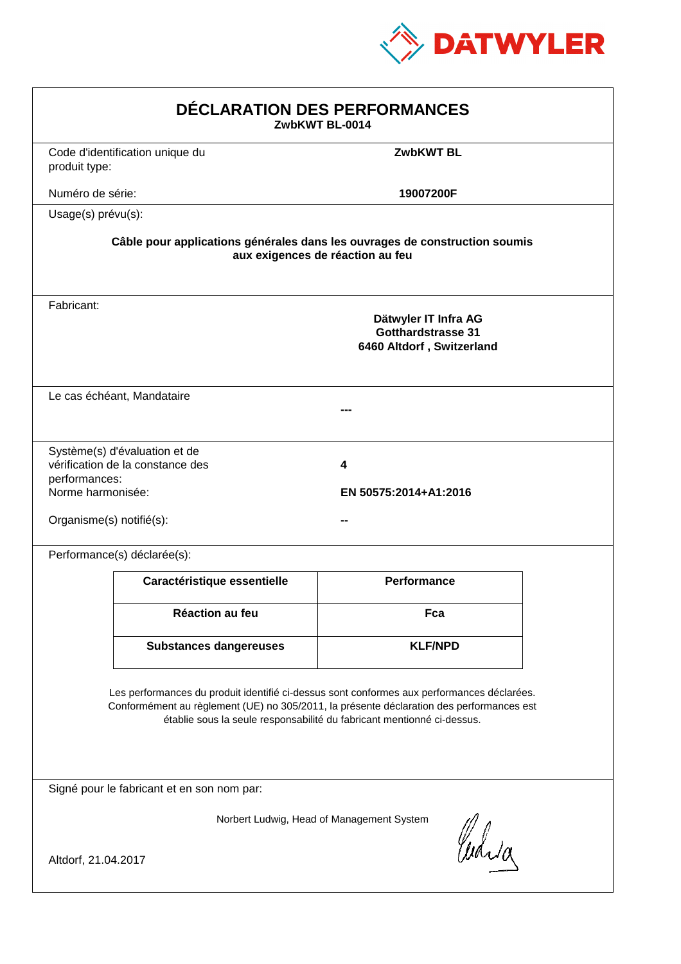

| DÉCLARATION DES PERFORMANCES<br>ZwbKWT BL-0014                 |                                                                   |                                                                                                                                                                                                                                                                  |  |
|----------------------------------------------------------------|-------------------------------------------------------------------|------------------------------------------------------------------------------------------------------------------------------------------------------------------------------------------------------------------------------------------------------------------|--|
| produit type:                                                  | Code d'identification unique du                                   | <b>ZwbKWT BL</b>                                                                                                                                                                                                                                                 |  |
| Numéro de série:                                               |                                                                   | 19007200F                                                                                                                                                                                                                                                        |  |
| Usage(s) prévu(s):                                             |                                                                   |                                                                                                                                                                                                                                                                  |  |
|                                                                |                                                                   | Câble pour applications générales dans les ouvrages de construction soumis<br>aux exigences de réaction au feu                                                                                                                                                   |  |
| Fabricant:                                                     |                                                                   | Dätwyler IT Infra AG<br><b>Gotthardstrasse 31</b><br>6460 Altdorf, Switzerland                                                                                                                                                                                   |  |
|                                                                | Le cas échéant, Mandataire                                        |                                                                                                                                                                                                                                                                  |  |
| performances:<br>Norme harmonisée:<br>Organisme(s) notifié(s): | Système(s) d'évaluation et de<br>vérification de la constance des | 4<br>EN 50575:2014+A1:2016                                                                                                                                                                                                                                       |  |
|                                                                | Performance(s) déclarée(s):                                       |                                                                                                                                                                                                                                                                  |  |
|                                                                | Caractéristique essentielle                                       | Performance                                                                                                                                                                                                                                                      |  |
|                                                                | <b>Réaction au feu</b>                                            | Fca                                                                                                                                                                                                                                                              |  |
|                                                                | <b>Substances dangereuses</b>                                     | <b>KLF/NPD</b>                                                                                                                                                                                                                                                   |  |
|                                                                |                                                                   | Les performances du produit identifié ci-dessus sont conformes aux performances déclarées.<br>Conformément au règlement (UE) no 305/2011, la présente déclaration des performances est<br>établie sous la seule responsabilité du fabricant mentionné ci-dessus. |  |
|                                                                | Signé pour le fabricant et en son nom par:                        |                                                                                                                                                                                                                                                                  |  |
| Altdorf, 21.04.2017                                            |                                                                   | Norbert Ludwig, Head of Management System<br>Curia                                                                                                                                                                                                               |  |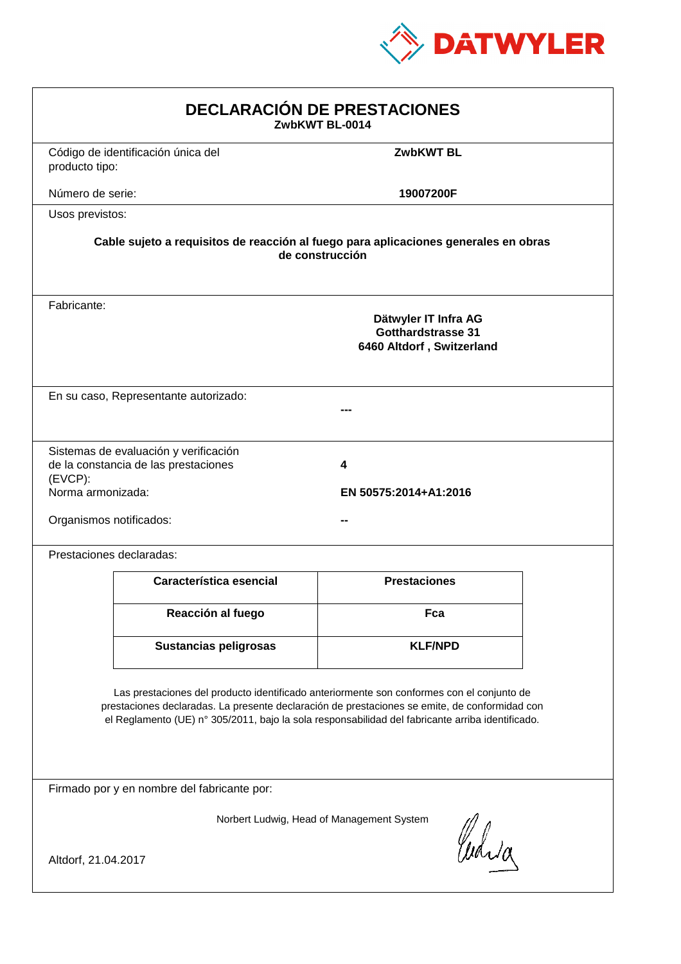

| <b>DECLARACIÓN DE PRESTACIONES</b><br>ZwbKWT BL-0014                                                                                                                                                                                                                                           |                                                                                                        |                            |  |  |  |
|------------------------------------------------------------------------------------------------------------------------------------------------------------------------------------------------------------------------------------------------------------------------------------------------|--------------------------------------------------------------------------------------------------------|----------------------------|--|--|--|
| producto tipo:                                                                                                                                                                                                                                                                                 | Código de identificación única del                                                                     | <b>ZwbKWT BL</b>           |  |  |  |
| Número de serie:                                                                                                                                                                                                                                                                               |                                                                                                        | 19007200F                  |  |  |  |
| Usos previstos:                                                                                                                                                                                                                                                                                |                                                                                                        |                            |  |  |  |
|                                                                                                                                                                                                                                                                                                | Cable sujeto a requisitos de reacción al fuego para aplicaciones generales en obras<br>de construcción |                            |  |  |  |
| Fabricante:                                                                                                                                                                                                                                                                                    | Dätwyler IT Infra AG<br><b>Gotthardstrasse 31</b><br>6460 Altdorf, Switzerland                         |                            |  |  |  |
|                                                                                                                                                                                                                                                                                                | En su caso, Representante autorizado:                                                                  |                            |  |  |  |
| (EVCP):<br>Norma armonizada:<br>Organismos notificados:                                                                                                                                                                                                                                        | Sistemas de evaluación y verificación<br>de la constancia de las prestaciones                          | 4<br>EN 50575:2014+A1:2016 |  |  |  |
|                                                                                                                                                                                                                                                                                                | Prestaciones declaradas:                                                                               |                            |  |  |  |
|                                                                                                                                                                                                                                                                                                | Característica esencial                                                                                | <b>Prestaciones</b>        |  |  |  |
|                                                                                                                                                                                                                                                                                                | Reacción al fuego                                                                                      | Fca                        |  |  |  |
|                                                                                                                                                                                                                                                                                                | <b>Sustancias peligrosas</b>                                                                           | <b>KLF/NPD</b>             |  |  |  |
| Las prestaciones del producto identificado anteriormente son conformes con el conjunto de<br>prestaciones declaradas. La presente declaración de prestaciones se emite, de conformidad con<br>el Reglamento (UE) nº 305/2011, bajo la sola responsabilidad del fabricante arriba identificado. |                                                                                                        |                            |  |  |  |
| Firmado por y en nombre del fabricante por:                                                                                                                                                                                                                                                    |                                                                                                        |                            |  |  |  |
| Norbert Ludwig, Head of Management System<br>Curia<br>Altdorf, 21.04.2017                                                                                                                                                                                                                      |                                                                                                        |                            |  |  |  |